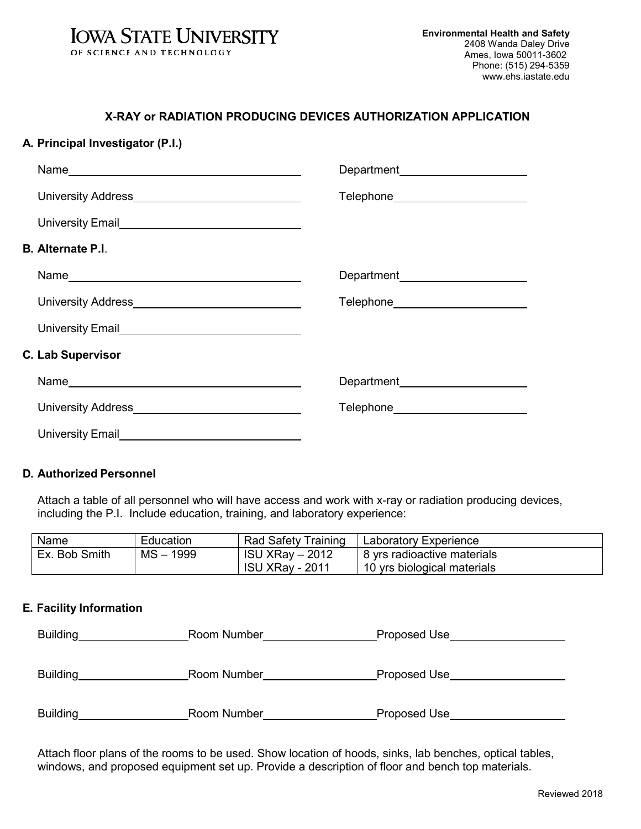

# **X-RAY or RADIATION PRODUCING DEVICES AUTHORIZATION APPLICATION**

## **A. Principal Investigator (P.I.)**

|                                                                                                                                                                                                                                | Department______________________    |
|--------------------------------------------------------------------------------------------------------------------------------------------------------------------------------------------------------------------------------|-------------------------------------|
|                                                                                                                                                                                                                                | Telephone_________________________  |
| University Email<br><u>Land Communication</u>                                                                                                                                                                                  |                                     |
| <b>B. Alternate P.I.</b>                                                                                                                                                                                                       |                                     |
|                                                                                                                                                                                                                                | Department________________________  |
|                                                                                                                                                                                                                                | Telephone__________________________ |
| University Email Changeletter Changeletter Changeletter Changeletter Changeletter Changeletter Changeletter Changeletter Changeletter Changeletter Changeletter Changeletter Changeletter Changeletter Changeletter Changelett |                                     |
| <b>C. Lab Supervisor</b>                                                                                                                                                                                                       |                                     |
|                                                                                                                                                                                                                                | Department<br><u>Letter</u>         |
|                                                                                                                                                                                                                                | Telephone________________________   |
| University Email                                                                                                                                                                                                               |                                     |

### **D. Authorized Personnel**

Attach a table of all personnel who will have access and work with x-ray or radiation producing devices, including the P.I. Include education, training, and laboratory experience:

| Name          | Education   | Rad Safety Training    | Laboratory Experience       |
|---------------|-------------|------------------------|-----------------------------|
| Ex. Bob Smith | $MS - 1999$ | <b>ISU XRay - 2012</b> | 8 yrs radioactive materials |
|               |             | <b>ISU XRay - 2011</b> | 10 yrs biological materials |

### **E. Facility Information**

| Building        | Room Number | Proposed Use |
|-----------------|-------------|--------------|
|                 |             |              |
|                 |             |              |
| Building        | Room Number | Proposed Use |
|                 |             |              |
| <b>Building</b> | Room Number | Proposed Use |
|                 |             |              |

Attach floor plans of the rooms to be used. Show location of hoods, sinks, lab benches, optical tables, windows, and proposed equipment set up. Provide a description of floor and bench top materials.